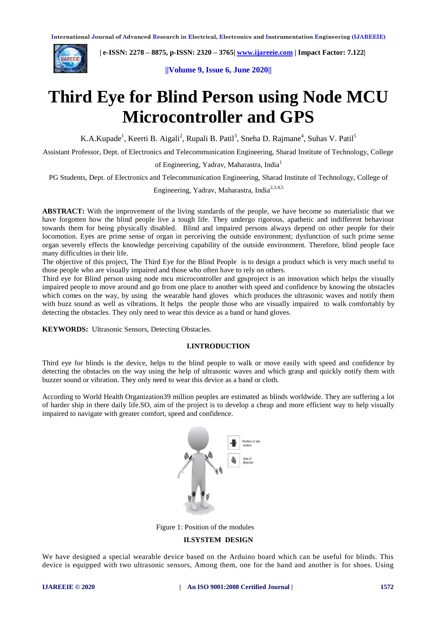

 **| e-ISSN: 2278 – 8875, p-ISSN: 2320 – 3765| [www.ijareeie.com](http://www.ijareeie.com/) | Impact Factor: 7.122|** 

**||Volume 9, Issue 6, June 2020||** 

# **Third Eye for Blind Person using Node MCU Microcontroller and GPS**

K.A.Kupade<sup>1</sup>, Keerti B. Aigali<sup>2</sup>, Rupali B. Patil<sup>3</sup>, Sneha D. Rajmane<sup>4</sup>, Suhas V. Patil<sup>5</sup>

Assistant Professor, Dept. of Electronics and Telecommunication Engineering, Sharad Institute of Technology, College

of Engineering, Yadrav, Maharastra, India<sup>1</sup>

PG Students, Dept. of Electronics and Telecommunication Engineering, Sharad Institute of Technology, College of

Engineering, Yadrav, Maharastra. India<sup>2,3,4,5</sup>

**ABSTRACT:** With the improvement of the living standards of the people, we have become so materialistic that we have forgotten how the blind people live a tough life. They undergo rigorous, apathetic and indifferent behaviour towards them for being physically disabled. Blind and impaired persons always depend on other people for their locomotion. Eyes are prime sense of organ in perceiving the outside environment; dysfunction of such prime sense organ severely effects the knowledge perceiving capability of the outside environment. Therefore, blind people face many difficulties in their life.

The objective of this project, The Third Eye for the Blind People is to design a product which is very much useful to those people who are visually impaired and those who often have to rely on others.

Third eye for Blind person using node mcu microcontroller and gpsproject is an innovation which helps the visually impaired people to move around and go from one place to another with speed and confidence by knowing the obstacles which comes on the way, by using the wearable hand gloves which produces the ultrasonic waves and notify them with buzz sound as well as vibrations. It helps the people those who are visually impaired to walk comfortably by detecting the obstacles. They only need to wear this device as a band or hand gloves.

**KEYWORDS:** Ultrasonic Sensors, Detecting Obstacles.

### **I.INTRODUCTION**

Third eye for blinds is the device, helps to the blind people to walk or move easily with speed and confidence by detecting the obstacles on the way using the help of ultrasonic waves and which grasp and quickly notify them with buzzer sound or vibration. They only need to wear this device as a band or cloth.

According to World Health Organization39 million peoples are estimated as blinds worldwide. They are suffering a lot of harder ship in there daily life.SO, aim of the project is to develop a cheap and more efficient way to help visually impaired to navigate with greater comfort, speed and confidence.



Figure 1: Position of the modules

### **II.SYSTEM DESIGN**

We have designed a special wearable device based on the Arduino board which can be useful for blinds. This device is equipped with two ultrasonic sensors, Among them, one for the hand and another is for shoes. Using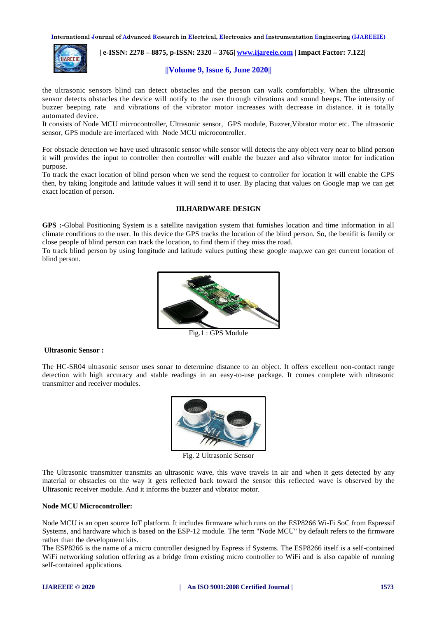**International Journal of Advanced Research in Electrical, Electronics and Instrumentation Engineering (IJAREEIE)** 



 **| e-ISSN: 2278 – 8875, p-ISSN: 2320 – 3765| [www.ijareeie.com](http://www.ijareeie.com/) | Impact Factor: 7.122|** 

### **||Volume 9, Issue 6, June 2020||**

the ultrasonic sensors blind can detect obstacles and the person can walk comfortably. When the ultrasonic sensor detects obstacles the device will notify to the user through vibrations and sound beeps. The intensity of buzzer beeping rate and vibrations of the vibrator motor increases with decrease in distance. it is totally automated device.

It consists of Node MCU microcontroller, Ultrasonic sensor, GPS module, Buzzer,Vibrator motor etc. The ultrasonic sensor, GPS module are interfaced with Node MCU microcontroller.

For obstacle detection we have used ultrasonic sensor while sensor will detects the any object very near to blind person it will provides the input to controller then controller will enable the buzzer and also vibrator motor for indication purpose.

To track the exact location of blind person when we send the request to controller for location it will enable the GPS then, by taking longitude and latitude values it will send it to user. By placing that values on Google map we can get exact location of person.

### **III.HARDWARE DESIGN**

**GPS :-**Global Positioning System is a satellite navigation system that furnishes location and time information in all climate conditions to the user. In this device the GPS tracks the location of the blind person. So, the benifit is family or close people of blind person can track the location, to find them if they miss the road.

To track blind person by using longitude and latitude values putting these google map,we can get current location of blind person.



Fig.1 : GPS Module

### **Ultrasonic Sensor :**

The HC-SR04 ultrasonic sensor uses sonar to determine distance to an object. It offers excellent non-contact range detection with high accuracy and stable readings in an easy-to-use package. It comes complete with ultrasonic transmitter and receiver modules.



Fig. 2 Ultrasonic Sensor

The Ultrasonic transmitter transmits an ultrasonic wave, this wave travels in air and when it gets detected by any material or obstacles on the way it gets reflected back toward the sensor this reflected wave is observed by the Ultrasonic receiver module. And it informs the buzzer and vibrator motor.

### **Node MCU Microcontroller:**

Node MCU is an open source [IoT](https://en.wikipedia.org/wiki/Internet_of_Things) platform. It includes [firmware](https://en.wikipedia.org/wiki/Firmware) which runs on the [ESP8266](https://en.wikipedia.org/wiki/ESP8266) [Wi-Fi](https://en.wikipedia.org/wiki/Wi-Fi) [SoC](https://en.wikipedia.org/wiki/System_on_a_chip) from [Espressif](https://en.wikipedia.org/w/index.php?title=Espressif_Systems&action=edit&redlink=1)  [Systems,](https://en.wikipedia.org/w/index.php?title=Espressif_Systems&action=edit&redlink=1) and hardware which is based on the ESP-12 module. The term "Node MCU" by default refers to the firmware rather than the development kits.

The ESP8266 is the name of a micro controller designed by Espress if Systems. The ESP8266 itself is a self-contained WiFi networking solution offering as a bridge from existing micro controller to WiFi and is also capable of running self-contained applications.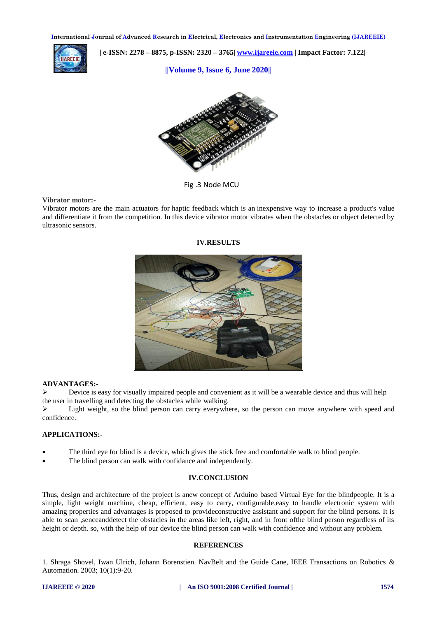**International Journal of Advanced Research in Electrical, Electronics and Instrumentation Engineering (IJAREEIE)** 



 **| e-ISSN: 2278 – 8875, p-ISSN: 2320 – 3765| [www.ijareeie.com](http://www.ijareeie.com/) | Impact Factor: 7.122|** 

**||Volume 9, Issue 6, June 2020||** 



Fig .3 Node MCU

### **Vibrator motor:-**

Vibrator motors are the main actuators for haptic feedback which is an inexpensive way to increase a product's value and differentiate it from the competition. In this device vibrator motor vibrates when the obstacles or object detected by ultrasonic sensors.

## **IV.RESULTS**



### **ADVANTAGES:-**

 $\triangleright$  Device is easy for visually impaired people and convenient as it will be a wearable device and thus will help the user in travelling and detecting the obstacles while walking.

 $\triangleright$  Light weight, so the blind person can carry everywhere, so the person can move anywhere with speed and confidence.

### **APPLICATIONS:-**

- The third eye for blind is a device, which gives the stick free and comfortable walk to blind people.
- The blind person can walk with confidance and independently.

### **IV.CONCLUSION**

Thus, design and architecture of the project is anew concept of Arduino based Virtual Eye for the blindpeople. It is a simple, light weight machine, cheap, efficient, easy to carry, configurable,easy to handle electronic system with amazing properties and advantages is proposed to provideconstructive assistant and support for the blind persons. It is able to scan ,senceanddetect the obstacles in the areas like left, right, and in front ofthe blind person regardless of its height or depth. so, with the help of our device the blind person can walk with confidence and without any problem.

### **REFERENCES**

1. Shraga Shovel, Iwan Ulrich, Johann Borenstien. NavBelt and the Guide Cane, IEEE Transactions on Robotics & Automation. 2003; 10(1):9-20.